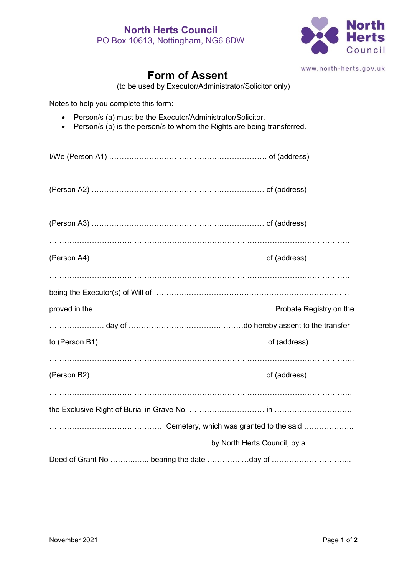

www.north-herts.gov.uk

## **Form of Assent**

(to be used by Executor/Administrator/Solicitor only)

Notes to help you complete this form:

- Person/s (a) must be the Executor/Administrator/Solicitor.
- Person/s (b) is the person/s to whom the Rights are being transferred.

| Deed of Grant No  bearing the date day of |  |
|-------------------------------------------|--|